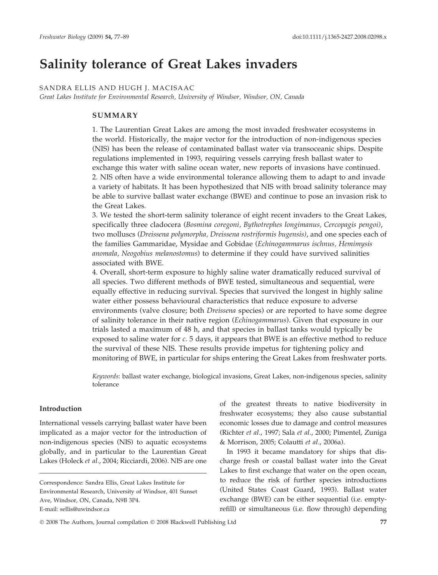# Salinity tolerance of Great Lakes invaders

# SANDRA ELLIS AND HUGH J. MACISAAC

Great Lakes Institute for Environmental Research, University of Windsor, Windsor, ON, Canada

# SUMMARY

1. The Laurentian Great Lakes are among the most invaded freshwater ecosystems in the world. Historically, the major vector for the introduction of non-indigenous species (NIS) has been the release of contaminated ballast water via transoceanic ships. Despite regulations implemented in 1993, requiring vessels carrying fresh ballast water to exchange this water with saline ocean water, new reports of invasions have continued. 2. NIS often have a wide environmental tolerance allowing them to adapt to and invade a variety of habitats. It has been hypothesized that NIS with broad salinity tolerance may be able to survive ballast water exchange (BWE) and continue to pose an invasion risk to the Great Lakes.

3. We tested the short-term salinity tolerance of eight recent invaders to the Great Lakes, specifically three cladocera (Bosmina coregoni, Bythotrephes longimanus, Cercopagis pengoi), two molluscs (Dreissena polymorpha, Dreissena rostriformis bugensis), and one species each of the families Gammaridae, Mysidae and Gobidae (Echinogammarus ischnus, Hemimysis anomala, Neogobius melanostomus) to determine if they could have survived salinities associated with BWE.

4. Overall, short-term exposure to highly saline water dramatically reduced survival of all species. Two different methods of BWE tested, simultaneous and sequential, were equally effective in reducing survival. Species that survived the longest in highly saline water either possess behavioural characteristics that reduce exposure to adverse environments (valve closure; both *Dreissena* species) or are reported to have some degree of salinity tolerance in their native region (Echinogammarus). Given that exposure in our trials lasted a maximum of 48 h, and that species in ballast tanks would typically be exposed to saline water for c. 5 days, it appears that BWE is an effective method to reduce the survival of these NIS. These results provide impetus for tightening policy and monitoring of BWE, in particular for ships entering the Great Lakes from freshwater ports.

Keywords: ballast water exchange, biological invasions, Great Lakes, non-indigenous species, salinity tolerance

## Introduction

International vessels carrying ballast water have been implicated as a major vector for the introduction of non-indigenous species (NIS) to aquatic ecosystems globally, and in particular to the Laurentian Great Lakes (Holeck et al., 2004; Ricciardi, 2006). NIS are one of the greatest threats to native biodiversity in freshwater ecosystems; they also cause substantial economic losses due to damage and control measures (Richter et al., 1997; Sala et al., 2000; Pimentel, Zuniga & Morrison, 2005; Colautti et al., 2006a).

In 1993 it became mandatory for ships that discharge fresh or coastal ballast water into the Great Lakes to first exchange that water on the open ocean, to reduce the risk of further species introductions (United States Coast Guard, 1993). Ballast water exchange (BWE) can be either sequential (i.e. emptyrefill) or simultaneous (i.e. flow through) depending

Correspondence: Sandra Ellis, Great Lakes Institute for Environmental Research, University of Windsor, 401 Sunset Ave, Windsor, ON, Canada, N9B 3P4. E-mail: sellis@uwindsor.ca

 $\odot$  2008 The Authors, Journal compilation  $\odot$  2008 Blackwell Publishing Ltd  $77$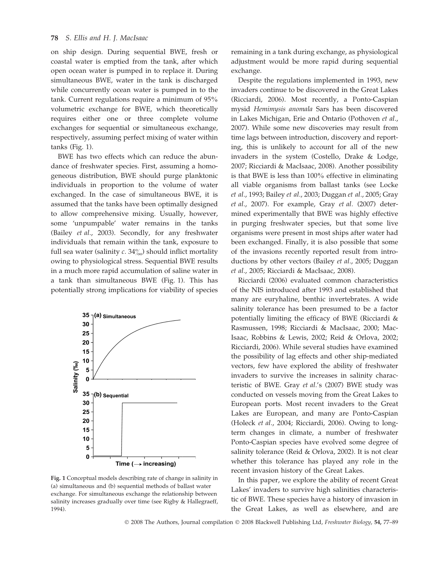on ship design. During sequential BWE, fresh or coastal water is emptied from the tank, after which open ocean water is pumped in to replace it. During simultaneous BWE, water in the tank is discharged while concurrently ocean water is pumped in to the tank. Current regulations require a minimum of 95% volumetric exchange for BWE, which theoretically requires either one or three complete volume exchanges for sequential or simultaneous exchange, respectively, assuming perfect mixing of water within tanks (Fig. 1).

BWE has two effects which can reduce the abundance of freshwater species. First, assuming a homogeneous distribution, BWE should purge planktonic individuals in proportion to the volume of water exchanged. In the case of simultaneous BWE, it is assumed that the tanks have been optimally designed to allow comprehensive mixing. Usually, however, some 'unpumpable' water remains in the tanks (Bailey et al., 2003). Secondly, for any freshwater individuals that remain within the tank, exposure to full sea water (salinity  $c. 34\%$ ) should inflict mortality owing to physiological stress. Sequential BWE results in a much more rapid accumulation of saline water in a tank than simultaneous BWE (Fig. 1). This has potentially strong implications for viability of species



Fig. 1 Conceptual models describing rate of change in salinity in (a) simultaneous and (b) sequential methods of ballast water exchange. For simultaneous exchange the relationship between salinity increases gradually over time (see Rigby & Hallegraeff, 1994).

remaining in a tank during exchange, as physiological adjustment would be more rapid during sequential exchange.

Despite the regulations implemented in 1993, new invaders continue to be discovered in the Great Lakes (Ricciardi, 2006). Most recently, a Ponto-Caspian mysid Hemimysis anomala Sars has been discovered in Lakes Michigan, Erie and Ontario (Pothoven et al., 2007). While some new discoveries may result from time lags between introduction, discovery and reporting, this is unlikely to account for all of the new invaders in the system (Costello, Drake & Lodge, 2007; Ricciardi & MacIsaac, 2008). Another possibility is that BWE is less than 100% effective in eliminating all viable organisms from ballast tanks (see Locke et al., 1993; Bailey et al., 2003; Duggan et al., 2005; Gray et al., 2007). For example, Gray et al. (2007) determined experimentally that BWE was highly effective in purging freshwater species, but that some live organisms were present in most ships after water had been exchanged. Finally, it is also possible that some of the invasions recently reported result from introductions by other vectors (Bailey et al., 2005; Duggan et al., 2005; Ricciardi & MacIsaac, 2008).

Ricciardi (2006) evaluated common characteristics of the NIS introduced after 1993 and established that many are euryhaline, benthic invertebrates. A wide salinity tolerance has been presumed to be a factor potentially limiting the efficacy of BWE (Ricciardi & Rasmussen, 1998; Ricciardi & MacIsaac, 2000; Mac-Isaac, Robbins & Lewis, 2002; Reid & Orlova, 2002; Ricciardi, 2006). While several studies have examined the possibility of lag effects and other ship-mediated vectors, few have explored the ability of freshwater invaders to survive the increases in salinity characteristic of BWE. Gray et al.'s (2007) BWE study was conducted on vessels moving from the Great Lakes to European ports. Most recent invaders to the Great Lakes are European, and many are Ponto-Caspian (Holeck et al., 2004; Ricciardi, 2006). Owing to longterm changes in climate, a number of freshwater Ponto-Caspian species have evolved some degree of salinity tolerance (Reid & Orlova, 2002). It is not clear whether this tolerance has played any role in the recent invasion history of the Great Lakes.

In this paper, we explore the ability of recent Great Lakes' invaders to survive high salinities characteristic of BWE. These species have a history of invasion in the Great Lakes, as well as elsewhere, and are

© 2008 The Authors, Journal compilation © 2008 Blackwell Publishing Ltd, Freshwater Biology, 54, 77–89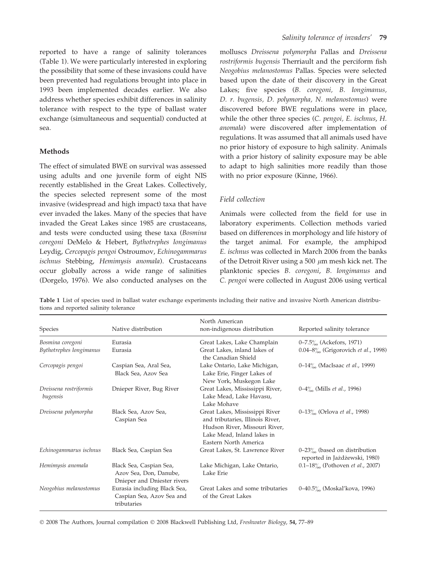reported to have a range of salinity tolerances (Table 1). We were particularly interested in exploring the possibility that some of these invasions could have been prevented had regulations brought into place in 1993 been implemented decades earlier. We also address whether species exhibit differences in salinity tolerance with respect to the type of ballast water exchange (simultaneous and sequential) conducted at sea.

## Methods

The effect of simulated BWE on survival was assessed using adults and one juvenile form of eight NIS recently established in the Great Lakes. Collectively, the species selected represent some of the most invasive (widespread and high impact) taxa that have ever invaded the lakes. Many of the species that have invaded the Great Lakes since 1985 are crustaceans, and tests were conducted using these taxa (Bosmina coregoni DeMelo & Hebert, Bythotrephes longimanus Leydig, Cercopagis pengoi Ostroumov, Echinogammarus ischnus Stebbing, Hemimysis anomala). Crustaceans occur globally across a wide range of salinities (Dorgelo, 1976). We also conducted analyses on the molluscs Dreissena polymorpha Pallas and Dreissena rostriformis bugensis Therriault and the perciform fish Neogobius melanostomus Pallas. Species were selected based upon the date of their discovery in the Great Lakes; five species (B. coregoni, B. longimanus, D. r. bugensis, D. polymorpha, N. melanostomus) were discovered before BWE regulations were in place, while the other three species (C. pengoi, E. ischnus, H. anomala) were discovered after implementation of regulations. It was assumed that all animals used have no prior history of exposure to high salinity. Animals with a prior history of salinity exposure may be able to adapt to high salinities more readily than those with no prior exposure (Kinne, 1966).

## Field collection

Animals were collected from the field for use in laboratory experiments. Collection methods varied based on differences in morphology and life history of the target animal. For example, the amphipod E. ischnus was collected in March 2006 from the banks of the Detroit River using a 500  $\mu$ m mesh kick net. The planktonic species B. coregoni, B. longimanus and C. pengoi were collected in August 2006 using vertical

| Species                            | Native distribution                                                              | North American<br>non-indigenous distribution                                                                                                              | Reported salinity tolerance                                      |
|------------------------------------|----------------------------------------------------------------------------------|------------------------------------------------------------------------------------------------------------------------------------------------------------|------------------------------------------------------------------|
| Bosmina coregoni                   | Eurasia                                                                          | Great Lakes, Lake Champlain                                                                                                                                | 0–7.5 $\frac{\%}{\%}$ (Ackefors, 1971)                           |
| Bythotrephes longimanus            | Eurasia                                                                          | Great Lakes, inland lakes of<br>the Canadian Shield                                                                                                        | 0.04–8 $\%$ (Grigorovich <i>et al.</i> , 1998)                   |
| Cercopagis pengoi                  | Caspian Sea, Aral Sea,<br>Black Sea, Azov Sea                                    | Lake Ontario, Lake Michigan,<br>Lake Erie, Finger Lakes of<br>New York, Muskegon Lake                                                                      | 0–14 $\frac{0}{20}$ (MacIsaac <i>et al.</i> , 1999)              |
| Dreissena rostriformis<br>bugensis | Dnieper River, Bug River                                                         | Great Lakes, Mississippi River,<br>Lake Mead, Lake Havasu,<br>Lake Mohave                                                                                  | $0-4\%$ (Mills <i>et al.</i> , 1996)                             |
| Dreissena polymorpha               | Black Sea, Azov Sea,<br>Caspian Sea                                              | Great Lakes, Mississippi River<br>and tributaries, Illinois River,<br>Hudson River, Missouri River,<br>Lake Mead, Inland lakes in<br>Eastern North America | 0–13 $\frac{\%}{\%}$ (Orlova <i>et al.</i> , 1998)               |
| Echinogammarus ischnus             | Black Sea, Caspian Sea                                                           | Great Lakes, St. Lawrence River                                                                                                                            | $0-23\%$ (based on distribution<br>reported in Jażdżewski, 1980) |
| Hemimysis anomala                  | Black Sea, Caspian Sea,<br>Azov Sea, Don, Danube,<br>Dnieper and Dniester rivers | Lake Michigan, Lake Ontario,<br>Lake Erie                                                                                                                  | 0.1-18 $\%$ (Pothoven <i>et al.</i> , 2007)                      |
| Neogobius melanostomus             | Eurasia including Black Sea,<br>Caspian Sea, Azov Sea and<br>tributaries         | Great Lakes and some tributaries<br>of the Great Lakes                                                                                                     | 0–40.5 <sup>%</sup> (Moskal'kova, 1996)                          |

Table 1 List of species used in ballast water exchange experiments including their native and invasive North American distributions and reported salinity tolerance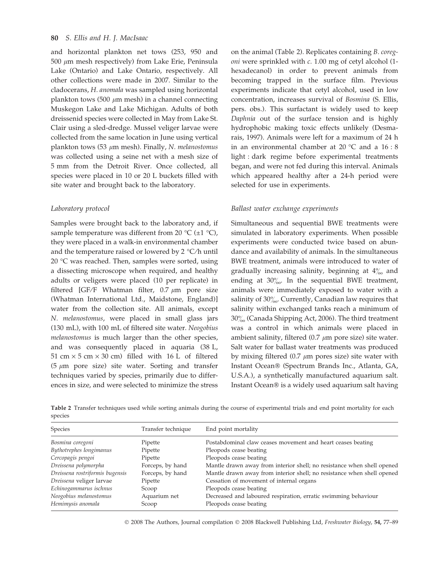#### 80 S. Ellis and H. J. MacIsaac

and horizontal plankton net tows (253, 950 and 500  $\mu$ m mesh respectively) from Lake Erie, Peninsula Lake (Ontario) and Lake Ontario, respectively. All other collections were made in 2007. Similar to the cladocerans, H. anomala was sampled using horizontal plankton tows (500  $\mu$ m mesh) in a channel connecting Muskegon Lake and Lake Michigan. Adults of both dreissenid species were collected in May from Lake St. Clair using a sled-dredge. Mussel veliger larvae were collected from the same location in June using vertical plankton tows (53  $\mu$ m mesh). Finally, N. melanostomus was collected using a seine net with a mesh size of 5 mm from the Detroit River. Once collected, all species were placed in 10 or 20 L buckets filled with site water and brought back to the laboratory.

## Laboratory protocol

Samples were brought back to the laboratory and, if sample temperature was different from 20  $\mathrm{C}$  ( $\pm 1 \mathrm{C}$ ), they were placed in a walk-in environmental chamber and the temperature raised or lowered by 2  $\degree$ C/h until 20  $\degree$ C was reached. Then, samples were sorted, using a dissecting microscope when required, and healthy adults or veligers were placed (10 per replicate) in filtered [GF/F Whatman filter,  $0.7 \mu m$  pore size (Whatman International Ltd., Maidstone, England)] water from the collection site. All animals, except N. melanostomus, were placed in small glass jars (130 mL), with 100 mL of filtered site water. Neogobius melanostomus is much larger than the other species, and was consequently placed in aquaria (38 L, 51 cm  $\times$  5 cm  $\times$  30 cm) filled with 16 L of filtered (5  $\mu$ m pore size) site water. Sorting and transfer techniques varied by species, primarily due to differences in size, and were selected to minimize the stress on the animal (Table 2). Replicates containing B. coregoni were sprinkled with c. 1.00 mg of cetyl alcohol (1 hexadecanol) in order to prevent animals from becoming trapped in the surface film. Previous experiments indicate that cetyl alcohol, used in low concentration, increases survival of Bosmina (S. Ellis, pers. obs.). This surfactant is widely used to keep Daphnia out of the surface tension and is highly hydrophobic making toxic effects unlikely (Desmarais, 1997). Animals were left for a maximum of 24 h in an environmental chamber at 20  $^{\circ}$ C and a 16 : 8 light : dark regime before experimental treatments began, and were not fed during this interval. Animals which appeared healthy after a 24-h period were selected for use in experiments.

#### Ballast water exchange experiments

Simultaneous and sequential BWE treatments were simulated in laboratory experiments. When possible experiments were conducted twice based on abundance and availability of animals. In the simultaneous BWE treatment, animals were introduced to water of gradually increasing salinity, beginning at  $4\%$  and ending at  $30\%$ . In the sequential BWE treatment, animals were immediately exposed to water with a salinity of  $30\%$ . Currently, Canadian law requires that salinity within exchanged tanks reach a minimum of  $30\%$  (Canada Shipping Act, 2006). The third treatment was a control in which animals were placed in ambient salinity, filtered  $(0.7 \mu m)$  pore size) site water. Salt water for ballast water treatments was produced by mixing filtered (0.7  $\mu$ m pores size) site water with Instant Ocean<sup>®</sup> (Spectrum Brands Inc., Atlanta, GA, U.S.A.), a synthetically manufactured aquarium salt. Instant Ocean<sup>®</sup> is a widely used aquarium salt having

Table 2 Transfer techniques used while sorting animals during the course of experimental trials and end point mortality for each species

| <b>Species</b>                  | Transfer technique | End point mortality                                                    |  |
|---------------------------------|--------------------|------------------------------------------------------------------------|--|
| Bosmina coregoni                | Pipette            | Postabdominal claw ceases movement and heart ceases beating            |  |
| Bythotrephes longimanus         | Pipette            | Pleopods cease beating                                                 |  |
| Cercopagis pengoi               | Pipette            | Pleopods cease beating                                                 |  |
| Dreissena polymorpha            | Forceps, by hand   | Mantle drawn away from interior shell; no resistance when shell opened |  |
| Dreissena rostriformis bugensis | Forceps, by hand   | Mantle drawn away from interior shell; no resistance when shell opened |  |
| Dreissena veliger larvae        | Pipette            | Cessation of movement of internal organs                               |  |
| Echinogammarus ischnus          | Scoop              | Pleopods cease beating                                                 |  |
| Neogobius melanostomus          | Aquarium net       | Decreased and laboured respiration, erratic swimming behaviour         |  |
| Hemimysis anomala               | Scoop              | Pleopods cease beating                                                 |  |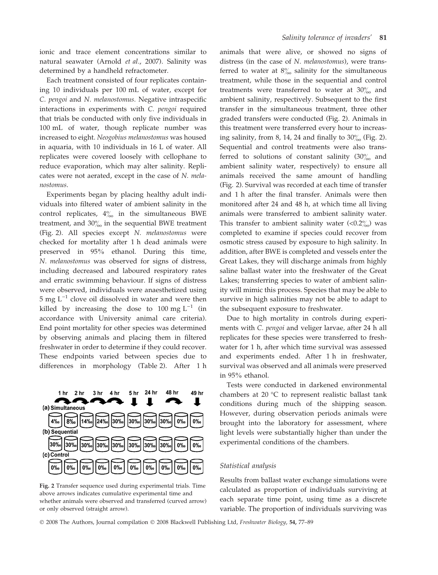ionic and trace element concentrations similar to natural seawater (Arnold et al., 2007). Salinity was determined by a handheld refractometer.

Each treatment consisted of four replicates containing 10 individuals per 100 mL of water, except for C. pengoi and N. melanostomus. Negative intraspecific interactions in experiments with C. pengoi required that trials be conducted with only five individuals in 100 mL of water, though replicate number was increased to eight. Neogobius melanostomus was housed in aquaria, with 10 individuals in 16 L of water. All replicates were covered loosely with cellophane to reduce evaporation, which may alter salinity. Replicates were not aerated, except in the case of N. melanostomus.

Experiments began by placing healthy adult individuals into filtered water of ambient salinity in the control replicates,  $4\%$  in the simultaneous BWE treatment, and  $30\%$  in the sequential BWE treatment (Fig. 2). All species except N. melanostomus were checked for mortality after 1 h dead animals were preserved in 95% ethanol. During this time, N. melanostomus was observed for signs of distress, including decreased and laboured respiratory rates and erratic swimming behaviour. If signs of distress were observed, individuals were anaesthetized using  $5 \text{ mg } L^{-1}$  clove oil dissolved in water and were then killed by increasing the dose to 100 mg  $L^{-1}$  (in accordance with University animal care criteria). End point mortality for other species was determined by observing animals and placing them in filtered freshwater in order to determine if they could recover. These endpoints varied between species due to differences in morphology (Table 2). After 1 h



Fig. 2 Transfer sequence used during experimental trials. Time above arrows indicates cumulative experimental time and whether animals were observed and transferred (curved arrow) or only observed (straight arrow).

animals that were alive, or showed no signs of distress (in the case of N. melanostomus), were transferred to water at  $8\%$  salinity for the simultaneous treatment, while those in the sequential and control treatments were transferred to water at  $30\%$  and ambient salinity, respectively. Subsequent to the first transfer in the simultaneous treatment, three other graded transfers were conducted (Fig. 2). Animals in this treatment were transferred every hour to increasing salinity, from 8, 14, 24 and finally to  $30\%$  (Fig. 2). Sequential and control treatments were also transferred to solutions of constant salinity  $(30)$ <sub>00</sub> and ambient salinity water, respectively) to ensure all animals received the same amount of handling (Fig. 2). Survival was recorded at each time of transfer and 1 h after the final transfer. Animals were then monitored after 24 and 48 h, at which time all living animals were transferred to ambient salinity water. This transfer to ambient salinity water  $\langle 0.2\%_{00} \rangle$  was completed to examine if species could recover from osmotic stress caused by exposure to high salinity. In addition, after BWE is completed and vessels enter the Great Lakes, they will discharge animals from highly saline ballast water into the freshwater of the Great Lakes; transferring species to water of ambient salinity will mimic this process. Species that may be able to survive in high salinities may not be able to adapt to the subsequent exposure to freshwater.

Due to high mortality in controls during experiments with C. pengoi and veliger larvae, after 24 h all replicates for these species were transferred to freshwater for 1 h, after which time survival was assessed and experiments ended. After 1 h in freshwater, survival was observed and all animals were preserved in 95% ethanol.

Tests were conducted in darkened environmental chambers at 20 $\degree$ C to represent realistic ballast tank conditions during much of the shipping season. However, during observation periods animals were brought into the laboratory for assessment, where light levels were substantially higher than under the experimental conditions of the chambers.

## Statistical analysis

Results from ballast water exchange simulations were calculated as proportion of individuals surviving at each separate time point, using time as a discrete variable. The proportion of individuals surviving was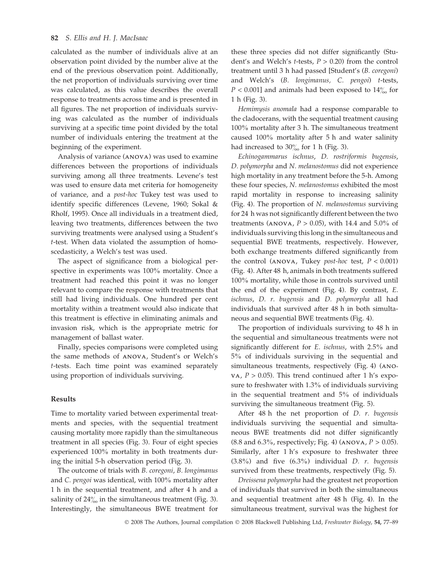# 82 S. Ellis and H. I. MacIsaac

calculated as the number of individuals alive at an observation point divided by the number alive at the end of the previous observation point. Additionally, the net proportion of individuals surviving over time was calculated, as this value describes the overall response to treatments across time and is presented in all figures. The net proportion of individuals surviving was calculated as the number of individuals surviving at a specific time point divided by the total number of individuals entering the treatment at the beginning of the experiment.

Analysis of variance (ANOVA) was used to examine differences between the proportions of individuals surviving among all three treatments. Levene's test was used to ensure data met criteria for homogeneity of variance, and a post-hoc Tukey test was used to identify specific differences (Levene, 1960; Sokal & Rholf, 1995). Once all individuals in a treatment died, leaving two treatments, differences between the two surviving treatments were analysed using a Student's t-test. When data violated the assumption of homoscedasticity, a Welch's test was used.

The aspect of significance from a biological perspective in experiments was 100% mortality. Once a treatment had reached this point it was no longer relevant to compare the response with treatments that still had living individuals. One hundred per cent mortality within a treatment would also indicate that this treatment is effective in eliminating animals and invasion risk, which is the appropriate metric for management of ballast water.

Finally, species comparisons were completed using the same methods of ANOVA, Student's or Welch's t-tests. Each time point was examined separately using proportion of individuals surviving.

#### Results

Time to mortality varied between experimental treatments and species, with the sequential treatment causing mortality more rapidly than the simultaneous treatment in all species (Fig. 3). Four of eight species experienced 100% mortality in both treatments during the initial 5-h observation period (Fig. 3).

The outcome of trials with B. coregoni, B. longimanus and C. pengoi was identical, with 100% mortality after 1 h in the sequential treatment, and after 4 h and a salinity of  $24\%$  in the simultaneous treatment (Fig. 3). Interestingly, the simultaneous BWE treatment for these three species did not differ significantly (Student's and Welch's *t*-tests,  $P > 0.20$  from the control treatment until 3 h had passed [Student's (B. coregoni) and Welch's (B. longimanus, C. pengoi) t-tests,  $P < 0.001$ ] and animals had been exposed to  $14\%$  for 1 h (Fig. 3).

Hemimysis anomala had a response comparable to the cladocerans, with the sequential treatment causing 100% mortality after 3 h. The simultaneous treatment caused 100% mortality after 5 h and water salinity had increased to  $30\%$  for 1 h (Fig. 3).

Echinogammarus ischnus, D. rostriformis bugensis, D. polymorpha and N. melanostomus did not experience high mortality in any treatment before the 5-h. Among these four species, N. melanostomus exhibited the most rapid mortality in response to increasing salinity (Fig. 4). The proportion of N. melanostomus surviving for 24 h was not significantly different between the two treatments (ANOVA,  $P > 0.05$ ), with 14.4 and 5.0% of individuals surviving this long in the simultaneous and sequential BWE treatments, respectively. However, both exchange treatments differed significantly from the control (ANOVA, Tukey *post-hoc* test,  $P < 0.001$ ) (Fig. 4). After 48 h, animals in both treatments suffered 100% mortality, while those in controls survived until the end of the experiment (Fig. 4). By contrast, E. ischnus, D. r. bugensis and D. polymorpha all had individuals that survived after 48 h in both simultaneous and sequential BWE treatments (Fig. 4).

The proportion of individuals surviving to 48 h in the sequential and simultaneous treatments were not significantly different for E. ischnus, with 2.5% and 5% of individuals surviving in the sequential and simultaneous treatments, respectively (Fig. 4) (ANO-VA,  $P > 0.05$ ). This trend continued after 1 h's exposure to freshwater with 1.3% of individuals surviving in the sequential treatment and 5% of individuals surviving the simultaneous treatment (Fig. 5).

After 48 h the net proportion of D. r. bugensis individuals surviving the sequential and simultaneous BWE treatments did not differ significantly  $(8.8 \text{ and } 6.3\%$ , respectively; Fig. 4)  $(ANOVA, P > 0.05)$ . Similarly, after 1 h's exposure to freshwater three  $(3.8\%)$  and five  $(6.3\%)$  individual D. r. bugensis survived from these treatments, respectively (Fig. 5).

Dreissena polymorpha had the greatest net proportion of individuals that survived in both the simultaneous and sequential treatment after 48 h (Fig. 4). In the simultaneous treatment, survival was the highest for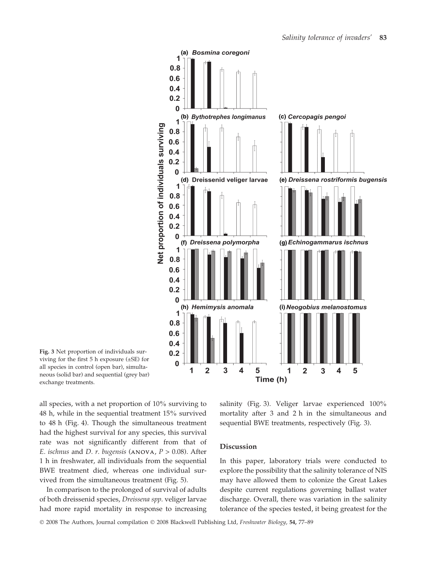

Fig. 3 Net proportion of individuals surviving for the first 5 h exposure (±SE) for all species in control (open bar), simultaneous (solid bar) and sequential (grey bar) exchange treatments.

all species, with a net proportion of 10% surviving to 48 h, while in the sequential treatment 15% survived to 48 h (Fig. 4). Though the simultaneous treatment had the highest survival for any species, this survival rate was not significantly different from that of E. ischnus and D. r. bugensis (ANOVA,  $P > 0.08$ ). After 1 h in freshwater, all individuals from the sequential BWE treatment died, whereas one individual survived from the simultaneous treatment (Fig. 5).

In comparison to the prolonged of survival of adults of both dreissenid species, Dreissena spp. veliger larvae had more rapid mortality in response to increasing salinity (Fig. 3). Veliger larvae experienced 100% mortality after 3 and 2 h in the simultaneous and sequential BWE treatments, respectively (Fig. 3).

# Discussion

In this paper, laboratory trials were conducted to explore the possibility that the salinity tolerance of NIS may have allowed them to colonize the Great Lakes despite current regulations governing ballast water discharge. Overall, there was variation in the salinity tolerance of the species tested, it being greatest for the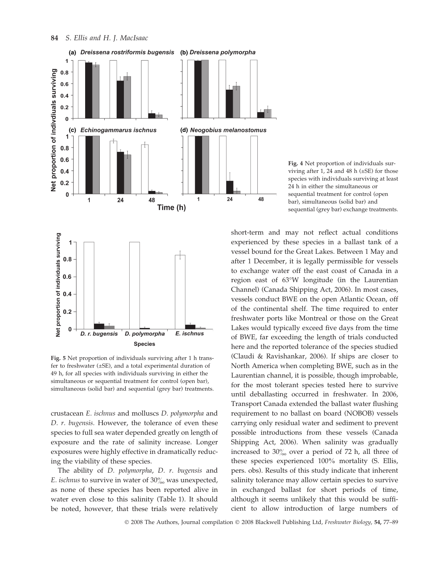

Fig. 5 Net proportion of individuals surviving after 1 h transfer to freshwater  $(\pm SE)$ , and a total experimental duration of 49 h, for all species with individuals surviving in either the simultaneous or sequential treatment for control (open bar), simultaneous (solid bar) and sequential (grey bar) treatments.

crustacean E. ischnus and molluscs D. polymorpha and D. r. bugensis. However, the tolerance of even these species to full sea water depended greatly on length of exposure and the rate of salinity increase. Longer exposures were highly effective in dramatically reducing the viability of these species.

The ability of D. polymorpha, D. r. bugensis and E. ischnus to survive in water of  $30\%$  was unexpected, as none of these species has been reported alive in water even close to this salinity (Table 1). It should be noted, however, that these trials were relatively

Fig. 4 Net proportion of individuals surviving after 1, 24 and 48 h  $(\pm SE)$  for those species with individuals surviving at least 24 h in either the simultaneous or sequential treatment for control (open bar), simultaneous (solid bar) and sequential (grey bar) exchange treatments.

short-term and may not reflect actual conditions experienced by these species in a ballast tank of a vessel bound for the Great Lakes. Between 1 May and after 1 December, it is legally permissible for vessels to exchange water off the east coast of Canada in a region east of 63°W longitude (in the Laurentian Channel) (Canada Shipping Act, 2006). In most cases, vessels conduct BWE on the open Atlantic Ocean, off of the continental shelf. The time required to enter freshwater ports like Montreal or those on the Great Lakes would typically exceed five days from the time of BWE, far exceeding the length of trials conducted here and the reported tolerance of the species studied (Claudi & Ravishankar, 2006). If ships are closer to North America when completing BWE, such as in the Laurentian channel, it is possible, though improbable, for the most tolerant species tested here to survive until deballasting occurred in freshwater. In 2006, Transport Canada extended the ballast water flushing requirement to no ballast on board (NOBOB) vessels carrying only residual water and sediment to prevent possible introductions from these vessels (Canada Shipping Act, 2006). When salinity was gradually increased to  $30\%$  over a period of 72 h, all three of these species experienced 100% mortality (S. Ellis, pers. obs). Results of this study indicate that inherent salinity tolerance may allow certain species to survive in exchanged ballast for short periods of time, although it seems unlikely that this would be sufficient to allow introduction of large numbers of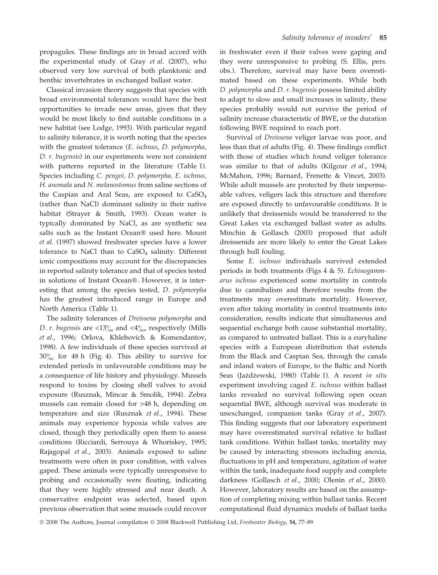propagules. These findings are in broad accord with the experimental study of Gray et al. (2007), who observed very low survival of both planktonic and benthic invertebrates in exchanged ballast water.

Classical invasion theory suggests that species with broad environmental tolerances would have the best opportunities to invade new areas, given that they would be most likely to find suitable conditions in a new habitat (see Lodge, 1993). With particular regard to salinity tolerance, it is worth noting that the species with the greatest tolerance (E. ischnus, D. polymorpha, D. r. bugensis) in our experiments were not consistent with patterns reported in the literature (Table 1). Species including C. pengoi, D. polymorpha, E. ischnus, H. anomala and N. melanostomus from saline sections of the Caspian and Aral Seas, are exposed to CaSO<sub>4</sub> (rather than NaCl) dominant salinity in their native habitat (Strayer & Smith, 1993). Ocean water is typically dominated by NaCl, as are synthetic sea salts such as the Instant Ocean<sup>®</sup> used here. Mount et al. (1997) showed freshwater species have a lower tolerance to NaCl than to  $CaSO<sub>4</sub>$  salinity. Different ionic compositions may account for the discrepancies in reported salinity tolerance and that of species tested in solutions of Instant Ocean®. However, it is interesting that among the species tested, D. polymorpha has the greatest introduced range in Europe and North America (Table 1).

The salinity tolerances of Dreissena polymorpha and D. r. bugensis are <13 $\%$  and <4 $\%$  respectively (Mills et al., 1996; Orlova, Khlebovich & Komendantov, 1998). A few individuals of these species survived at  $30\%$  for 48 h (Fig. 4). This ability to survive for extended periods in unfavourable conditions may be a consequence of life history and physiology. Mussels respond to toxins by closing shell valves to avoid exposure (Rusznak, Mincar & Smolik, 1994). Zebra mussels can remain closed for >48 h, depending on temperature and size (Rusznak et al., 1994). These animals may experience hypoxia while valves are closed, though they periodically open them to assess conditions (Ricciardi, Serrouya & Whoriskey, 1995; Rajagopal et al., 2003). Animals exposed to saline treatments were often in poor condition, with valves gaped. These animals were typically unresponsive to probing and occasionally were floating, indicating that they were highly stressed and near death. A conservative endpoint was selected, based upon previous observation that some mussels could recover in freshwater even if their valves were gaping and they were unresponsive to probing (S. Ellis, pers. obs.). Therefore, survival may have been overestimated based on these experiments. While both D. polymorpha and D. r. bugensis possess limited ability to adapt to slow and small increases in salinity, these species probably would not survive the period of salinity increase characteristic of BWE, or the duration following BWE required to reach port.

Survival of Dreissena veliger larvae was poor, and less than that of adults (Fig. 4). These findings conflict with those of studies which found veliger tolerance was similar to that of adults (Kilgour et al., 1994; McMahon, 1996; Barnard, Frenette & Vincet, 2003). While adult mussels are protected by their impermeable valves, veligers lack this structure and therefore are exposed directly to unfavourable conditions. It is unlikely that dreissenids would be transferred to the Great Lakes via exchanged ballast water as adults. Minchin & Gollasch (2003) proposed that adult dreissenids are more likely to enter the Great Lakes through hull fouling.

Some E. ischnus individuals survived extended periods in both treatments (Figs  $4 \& 5$ ). Echinogammarus ischnus experienced some mortality in controls due to cannibalism and therefore results from the treatments may overestimate mortality. However, even after taking mortality in control treatments into consideration, results indicate that simultaneous and sequential exchange both cause substantial mortality, as compared to untreated ballast. This is a euryhaline species with a European distribution that extends from the Black and Caspian Sea, through the canals and inland waters of Europe, to the Baltic and North Seas (Jażdżewski, 1980) (Table 1). A recent in situ experiment involving caged E. ischnus within ballast tanks revealed no survival following open ocean sequential BWE, although survival was moderate in unexchanged, companion tanks (Gray et al., 2007). This finding suggests that our laboratory experiment may have overestimated survival relative to ballast tank conditions. Within ballast tanks, mortality may be caused by interacting stressors including anoxia, fluctuations in pH and temperature, agitation of water within the tank, inadequate food supply and complete darkness (Gollasch et al., 2000; Olenin et al., 2000). However, laboratory results are based on the assumption of completing mixing within ballast tanks. Recent computational fluid dynamics models of ballast tanks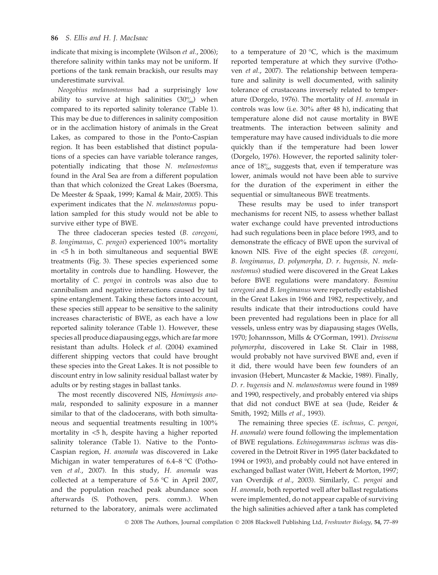indicate that mixing is incomplete (Wilson et al., 2006); therefore salinity within tanks may not be uniform. If portions of the tank remain brackish, our results may underestimate survival.

Neogobius melanostomus had a surprisingly low ability to survive at high salinities  $(30\%)$  when compared to its reported salinity tolerance (Table 1). This may be due to differences in salinity composition or in the acclimation history of animals in the Great Lakes, as compared to those in the Ponto-Caspian region. It has been established that distinct populations of a species can have variable tolerance ranges, potentially indicating that those N. melanostomus found in the Aral Sea are from a different population than that which colonized the Great Lakes (Boersma, De Meester & Spaak, 1999; Kamal & Mair, 2005). This experiment indicates that the N. melanostomus population sampled for this study would not be able to survive either type of BWE.

The three cladoceran species tested (B. coregoni, B. longimanus, C. pengoi) experienced 100% mortality in <5 h in both simultaneous and sequential BWE treatments (Fig. 3). These species experienced some mortality in controls due to handling. However, the mortality of C. pengoi in controls was also due to cannibalism and negative interactions caused by tail spine entanglement. Taking these factors into account, these species still appear to be sensitive to the salinity increases characteristic of BWE, as each have a low reported salinity tolerance (Table 1). However, these species all produce diapausing eggs, which are far more resistant than adults. Holeck et al. (2004) examined different shipping vectors that could have brought these species into the Great Lakes. It is not possible to discount entry in low salinity residual ballast water by adults or by resting stages in ballast tanks.

The most recently discovered NIS, Hemimysis anomala, responded to salinity exposure in a manner similar to that of the cladocerans, with both simultaneous and sequential treatments resulting in 100% mortality in <5 h, despite having a higher reported salinity tolerance (Table 1). Native to the Ponto-Caspian region, H. anomala was discovered in Lake Michigan in water temperatures of  $6.4-8$  °C (Pothoven et al., 2007). In this study, H. anomala was collected at a temperature of  $5.6 \text{ °C}$  in April 2007, and the population reached peak abundance soon afterwards (S. Pothoven, pers. comm.). When returned to the laboratory, animals were acclimated

to a temperature of 20  $\degree$ C, which is the maximum reported temperature at which they survive (Pothoven et al., 2007). The relationship between temperature and salinity is well documented, with salinity tolerance of crustaceans inversely related to temperature (Dorgelo, 1976). The mortality of H. anomala in controls was low (i.e. 30% after 48 h), indicating that temperature alone did not cause mortality in BWE treatments. The interaction between salinity and temperature may have caused individuals to die more quickly than if the temperature had been lower (Dorgelo, 1976). However, the reported salinity tolerance of  $18\%$  suggests that, even if temperature was lower, animals would not have been able to survive for the duration of the experiment in either the sequential or simultaneous BWE treatments.

These results may be used to infer transport mechanisms for recent NIS, to assess whether ballast water exchange could have prevented introductions had such regulations been in place before 1993, and to demonstrate the efficacy of BWE upon the survival of known NIS. Five of the eight species (B. coregoni, B. longimanus, D. polymorpha, D. r. bugensis, N. melanostomus) studied were discovered in the Great Lakes before BWE regulations were mandatory. Bosmina coregoni and B. longimanus were reportedly established in the Great Lakes in 1966 and 1982, respectively, and results indicate that their introductions could have been prevented had regulations been in place for all vessels, unless entry was by diapausing stages (Wells, 1970; Johannsson, Mills & O'Gorman, 1991). Dreissena polymorpha, discovered in Lake St. Clair in 1988, would probably not have survived BWE and, even if it did, there would have been few founders of an invasion (Hebert, Muncaster & Mackie, 1989). Finally, D. r. bugensis and N. melanostomus were found in 1989 and 1990, respectively, and probably entered via ships that did not conduct BWE at sea (Jude, Reider & Smith, 1992; Mills et al., 1993).

The remaining three species (E. ischnus, C. pengoi, H. anomala) were found following the implementation of BWE regulations. Echinogammarus ischnus was discovered in the Detroit River in 1995 (later backdated to 1994 or 1993), and probably could not have entered in exchanged ballast water (Witt, Hebert & Morton, 1997; van Overdijk et al., 2003). Similarly, C. pengoi and H. anomala, both reported well after ballast regulations were implemented, do not appear capable of surviving the high salinities achieved after a tank has completed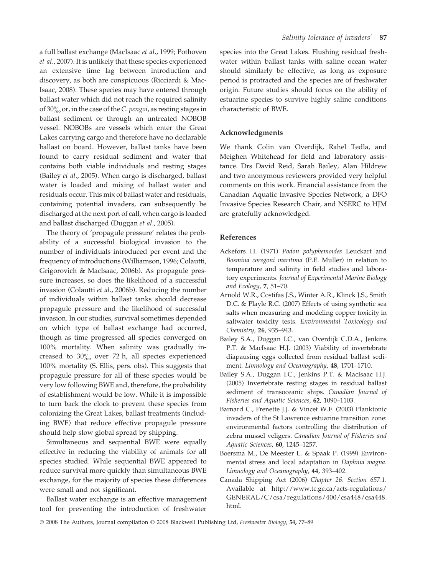a full ballast exchange (MacIsaac et al., 1999; Pothoven et al., 2007). It is unlikely that these species experienced an extensive time lag between introduction and discovery, as both are conspicuous (Ricciardi & Mac-Isaac, 2008). These species may have entered through ballast water which did not reach the required salinity of 30 $\%$  or, in the case of the C. pengoi, as resting stages in ballast sediment or through an untreated NOBOB vessel. NOBOBs are vessels which enter the Great Lakes carrying cargo and therefore have no declarable ballast on board. However, ballast tanks have been found to carry residual sediment and water that contains both viable individuals and resting stages (Bailey et al., 2005). When cargo is discharged, ballast water is loaded and mixing of ballast water and residuals occur. This mix of ballast water and residuals, containing potential invaders, can subsequently be discharged at the next port of call, when cargo is loaded and ballast discharged (Duggan et al., 2005).

The theory of 'propagule pressure' relates the probability of a successful biological invasion to the number of individuals introduced per event and the frequency of introductions (Williamson, 1996; Colautti, Grigorovich & MacIsaac, 2006b). As propagule pressure increases, so does the likelihood of a successful invasion (Colautti et al., 2006b). Reducing the number of individuals within ballast tanks should decrease propagule pressure and the likelihood of successful invasion. In our studies, survival sometimes depended on which type of ballast exchange had occurred, though as time progressed all species converged on 100% mortality. When salinity was gradually increased to  $30\%$  over 72 h, all species experienced 100% mortality (S. Ellis, pers. obs). This suggests that propagule pressure for all of these species would be very low following BWE and, therefore, the probability of establishment would be low. While it is impossible to turn back the clock to prevent these species from colonizing the Great Lakes, ballast treatments (including BWE) that reduce effective propagule pressure should help slow global spread by shipping.

Simultaneous and sequential BWE were equally effective in reducing the viability of animals for all species studied. While sequential BWE appeared to reduce survival more quickly than simultaneous BWE exchange, for the majority of species these differences were small and not significant.

Ballast water exchange is an effective management tool for preventing the introduction of freshwater species into the Great Lakes. Flushing residual freshwater within ballast tanks with saline ocean water should similarly be effective, as long as exposure period is protracted and the species are of freshwater origin. Future studies should focus on the ability of estuarine species to survive highly saline conditions characteristic of BWE.

## Acknowledgments

We thank Colin van Overdijk, Rahel Tedla, and Meighen Whitehead for field and laboratory assistance. Drs David Reid, Sarah Bailey, Alan Hildrew and two anonymous reviewers provided very helpful comments on this work. Financial assistance from the Canadian Aquatic Invasive Species Network, a DFO Invasive Species Research Chair, and NSERC to HJM are gratefully acknowledged.

#### References

- Ackefors H. (1971) Podon polyphemoides Leuckart and Bosmina coregoni maritima (P.E. Muller) in relation to temperature and salinity in field studies and laboratory experiments. Journal of Experimental Marine Biology and Ecology, 7, 51–70.
- Arnold W.R., Costifas J.S., Winter A.R., Klinck J.S., Smith D.C. & Playle R.C. (2007) Effects of using synthetic sea salts when measuring and modeling copper toxicity in saltwater toxicity tests. Environmental Toxicology and Chemistry, 26, 935–943.
- Bailey S.A., Duggan I.C., van Overdijk C.D.A., Jenkins P.T. & MacIsaac H.J. (2003) Viability of invertebrate diapausing eggs collected from residual ballast sediment. Limnology and Oceanography, 48, 1701-1710.
- Bailey S.A., Duggan I.C., Jenkins P.T. & MacIsaac H.J. (2005) Invertebrate resting stages in residual ballast sediment of transoceanic ships. Canadian Journal of Fisheries and Aquatic Sciences, 62, 1090–1103.
- Barnard C., Frenette J.J. & Vincet W.F. (2003) Planktonic invaders of the St Lawrence estuarine transition zone: environmental factors controlling the distribution of zebra mussel veligers. Canadian Journal of Fisheries and Aquatic Sciences, 60, 1245–1257.
- Boersma M., De Meester L. & Spaak P. (1999) Environmental stress and local adaptation in Daphnia magna. Limnology and Oceanography, 44, 393–402.
- Canada Shipping Act (2006) Chapter 26. Section 657.1. Available at http://www.tc.gc.ca/acts-regulations/ GENERAL/C/csa/regulations/400/csa448/csa448. html.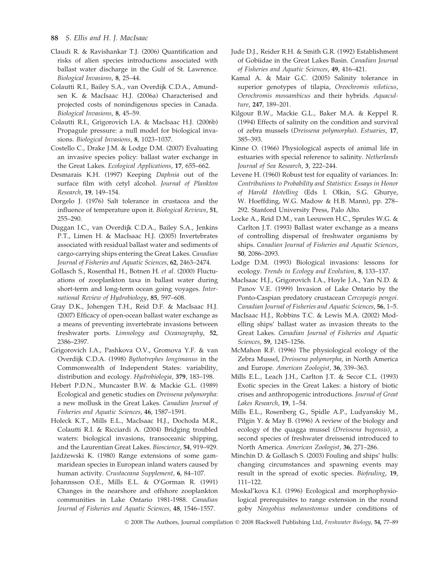## 88 S. Ellis and H. J. MacIsaac

- Claudi R. & Ravishankar T.J. (2006) Quantification and risks of alien species introductions associated with ballast water discharge in the Gulf of St. Lawrence. Biological Invasions, 8, 25–44.
- Colautti R.I., Bailey S.A., van Overdijk C.D.A., Amundsen K. & MacIsaac H.J. (2006a) Characterised and projected costs of nonindigenous species in Canada. Biological Invasions, 8, 45–59.
- Colautti R.I., Grigorovich I.A. & MacIsaac H.J. (2006b) Propagule pressure: a null model for biological invasions. Biological Invasions, 8, 1023–1037.
- Costello C., Drake J.M. & Lodge D.M. (2007) Evaluating an invasive species policy: ballast water exchange in the Great Lakes. Ecological Applications, 17, 655–662.
- Desmarais K.H. (1997) Keeping Daphnia out of the surface film with cetyl alcohol. Journal of Plankton Research, 19, 149–154.
- Dorgelo J. (1976) Salt tolerance in crustacea and the influence of temperature upon it. Biological Reviews, 51, 255–290.
- Duggan I.C., van Overdijk C.D.A., Bailey S.A., Jenkins P.T., Limen H. & MacIsaac H.J. (2005) Invertebrates associated with residual ballast water and sediments of cargo-carrying ships entering the Great Lakes. Canadian Journal of Fisheries and Aquatic Sciences, 62, 2463–2474.
- Gollasch S., Rosenthal H., Botnen H. et al. (2000) Fluctuations of zooplankton taxa in ballast water during short-term and long-term ocean going voyages. International Review of Hydrobiology, 85, 597–608.
- Gray D.K., Johengen T.H., Reid D.F. & MacIsaac H.J. (2007) Efficacy of open-ocean ballast water exchange as a means of preventing invertebrate invasions between freshwater ports. Limnology and Oceanography, 52, 2386–2397.
- Grigorovich I.A., Pashkova O.V., Gromova Y.F. & van Overdijk C.D.A. (1998) Bythotrephes longimanus in the Commonwealth of Independent States: variability, distribution and ecology. Hydrobiologia, 379, 183–198.
- Hebert P.D.N., Muncaster B.W. & Mackie G.L. (1989) Ecological and genetic studies on Dreissena polymorpha: a new mollusk in the Great Lakes. Canadian Journal of Fisheries and Aquatic Sciences, 46, 1587–1591.
- Holeck K.T., Mills E.L., MacIsaac H.J., Dochoda M.R., Colautti R.I. & Ricciardi A. (2004) Bridging troubled waters: biological invasions, transoceanic shipping, and the Laurentian Great Lakes. Bioscience, 54, 919–929.
- Jażdżewski K. (1980) Range extensions of some gammaridean species in European inland waters caused by human activity. Crustaceana Supplement, 6, 84–107.
- Johannsson O.E., Mills E.L. & O'Gorman R. (1991) Changes in the nearshore and offshore zooplankton communities in Lake Ontario 1981-1988. Canadian Journal of Fisheries and Aquatic Sciences, 48, 1546–1557.
- Jude D.J., Reider R.H. & Smith G.R. (1992) Establishment of Gobiidae in the Great Lakes Basin. Canadian Journal of Fisheries and Aquatic Sciences, 49, 416–421.
- Kamal A. & Mair G.C. (2005) Salinity tolerance in superior genotypes of tilapia, Oreochromis niloticus, Oerochromis mossambicus and their hybrids. Aquaculture, 247, 189–201.
- Kilgour B.W., Mackie G.L., Baker M.A. & Keppel R. (1994) Effects of salinity on the condition and survival of zebra mussels (Dreissena polymorpha). Estuaries, 17, 385–393.
- Kinne O. (1966) Physiological aspects of animal life in estuaries with special reference to salinity. Netherlands Journal of Sea Research, 3, 222–244.
- Levene H. (1960) Robust test for equality of variances. In: Contributions to Probability and Statistics: Essays in Honor of Harold Hotelling (Eds I. Olkin, S.G. Ghurye, W. Hoeffding, W.G. Madow & H.B. Mann), pp. 278– 292. Stanford University Press, Palo Alto.
- Locke A., Reid D.M., van Leeuwen H.C., Sprules W.G. & Carlton J.T. (1993) Ballast water exchange as a means of controlling dispersal of freshwater organisms by ships. Canadian Journal of Fisheries and Aquatic Sciences, 50, 2086–2093.
- Lodge D.M. (1993) Biological invasions: lessons for ecology. Trends in Ecology and Evolution, 8, 133–137.
- MacIsaac H.J., Grigorovich I.A., Hoyle J.A., Yan N.D. & Panov V.E. (1999) Invasion of Lake Ontario by the Ponto-Caspian predatory crustacean Cercopagis pengoi. Canadian Journal of Fisheries and Aquatic Sciences, 56, 1–5.
- MacIsaac H.J., Robbins T.C. & Lewis M.A. (2002) Modelling ships' ballast water as invasion threats to the Great Lakes. Canadian Journal of Fisheries and Aquatic Sciences, 59, 1245–1256.
- McMahon R.F. (1996) The physiological ecology of the Zebra Mussel, Dreissena polymorpha, in North America and Europe. American Zoologist, 36, 339–363.
- Mills E.L., Leach J.H., Carlton J.T. & Secor C.L. (1993) Exotic species in the Great Lakes: a history of biotic crises and anthropogenic introductions. Journal of Great Lakes Research, 19, 1–54.
- Mills E.L., Rosenberg G., Spidle A.P., Ludyanskiy M., Pilgin Y. & May B. (1996) A review of the biology and ecology of the quagga mussel (Dreissena bugensis), a second species of freshwater dreissenid introduced to North America. American Zoologist, 36, 271–286.
- Minchin D. & Gollasch S. (2003) Fouling and ships' hulls: changing circumstances and spawning events may result in the spread of exotic species. Biofouling, 19, 111–122.
- Moskal'kova K.I. (1996) Ecological and morphophysiological prerequisites to range extension in the round goby Neogobius melanostomus under conditions of